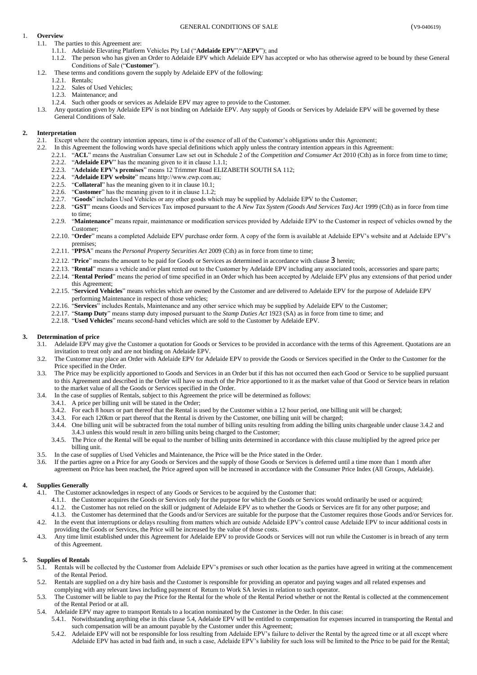## GENERAL CONDITIONS OF SALE (V9-040619)

# <span id="page-0-0"></span>1. **Overview**

- <span id="page-0-1"></span>1.1. The parties to this Agreement are:
	- 1.1.1. Adelaide Elevating Platform Vehicles Pty Ltd ("**Adelaide EPV**"/"**AEPV**"); and
	- 1.1.2. The person who has given an Order to Adelaide EPV which Adelaide EPV has accepted or who has otherwise agreed to be bound by these General Conditions of Sale ("**Customer**").
- 1.2. These terms and conditions govern the supply by Adelaide EPV of the following:
	- 1.2.1. Rentals;
		- 1.2.2. Sales of Used Vehicles;
		- 1.2.3. Maintenance; and
	- 1.2.4. Such other goods or services as Adelaide EPV may agree to provide to the Customer.
- 1.3. Any quotation given by Adelaide EPV is not binding on Adelaide EPV. Any supply of Goods or Services by Adelaide EPV will be governed by these General Conditions of Sale.

# **2. Interpretation**

- 2.1. Except where the contrary intention appears, time is of the essence of all of the Customer's obligations under this Agreement;
- 2.2. In this Agreement the following words have special definitions which apply unless the contrary intention appears in this Agreement:
	- 2.2.1. "**ACL**" means the Australian Consumer Law set out in Schedule 2 of the *Competition and Consumer Act* 2010 (Cth) as in force from time to time;
	- 2.2.2. "**Adelaide EPV**" has the meaning given to it in claus[e 1.1.1;](#page-0-0)
	- 2.2.3. "**Adelaide EPV's premises**" means 12 Trimmer Road ELIZABETH SOUTH SA 112;
	- 2.2.4. "**Adelaide EPV website**" means http://www.ewp.com.au;
	- "Collateral" has the meaning given to it in claus[e 10.1;](#page-2-0)
	- 2.2.6. "**Customer**" has the meaning given to it in claus[e 1.1.2;](#page-0-1)
	- 2.2.7. "**Goods**" includes Used Vehicles or any other goods which may be supplied by Adelaide EPV to the Customer;
	- 2.2.8. "**GST**" means Goods and Services Tax imposed pursuant to the *A New Tax System (Goods And Services Tax) Act* 1999 (Cth) as in force from time to time;
	- 2.2.9. "**Maintenance**" means repair, maintenance or modification services provided by Adelaide EPV to the Customer in respect of vehicles owned by the Customer;
	- 2.2.10. "**Order**" means a completed Adelaide EPV purchase order form. A copy of the form is available at Adelaide EPV's website and at Adelaide EPV's premises;
	- 2.2.11. "**PPSA**" means the *Personal Property Securities Act* 2009 (Cth) as in force from time to time;
	- 2.2.12. "**Price**" means the amount to be paid for Goods or Services as determined in accordance with clause [3](#page-0-2) herein;
	- 2.2.13. "**Rental**" means a vehicle and/or plant rented out to the Customer by Adelaide EPV including any associated tools, accessories and spare parts;
	- 2.2.14. "**Rental Period**" means the period of time specified in an Order which has been accepted by Adelaide EPV plus any extensions of that period under this Agreement;
	- 2.2.15. "**Serviced Vehicles**" means vehicles which are owned by the Customer and are delivered to Adelaide EPV for the purpose of Adelaide EPV performing Maintenance in respect of those vehicles;
	- 2.2.16. "**Services**" includes Rentals, Maintenance and any other service which may be supplied by Adelaide EPV to the Customer;
	- 2.2.17. "**Stamp Duty**" means stamp duty imposed pursuant to the *Stamp Duties Act* 1923 (SA) as in force from time to time; and
	- 2.2.18. "**Used Vehicles**" means second-hand vehicles which are sold to the Customer by Adelaide EPV.

# <span id="page-0-2"></span>**3. Determination of price**

- 3.1. Adelaide EPV may give the Customer a quotation for Goods or Services to be provided in accordance with the terms of this Agreement. Quotations are an invitation to treat only and are not binding on Adelaide EPV.
- 3.2. The Customer may place an Order with Adelaide EPV for Adelaide EPV to provide the Goods or Services specified in the Order to the Customer for the Price specified in the Order.
- 3.3. The Price may be explicitly apportioned to Goods and Services in an Order but if this has not occurred then each Good or Service to be supplied pursuant to this Agreement and described in the Order will have so much of the Price apportioned to it as the market value of that Good or Service bears in relation to the market value of all the Goods or Services specified in the Order.
- <span id="page-0-4"></span><span id="page-0-3"></span>3.4. In the case of supplies of Rentals, subject to this Agreement the price will be determined as follows:
	- 3.4.1. A price per billing unit will be stated in the Order;
	- 3.4.2. For each 8 hours or part thereof that the Rental is used by the Customer within a 12 hour period, one billing unit will be charged;
	- 3.4.3. For each 120km or part thereof that the Rental is driven by the Customer, one billing unit will be charged;
	- 3.4.4. One billing unit will be subtracted from the total number of billing units resulting from adding the billing units chargeable under claus[e 3.4.2](#page-0-3) and [3.4.3](#page-0-4) unless this would result in zero billing units being charged to the Customer;
	- 3.4.5. The Price of the Rental will be equal to the number of billing units determined in accordance with this clause multiplied by the agreed price per billing unit.
- 3.5. In the case of supplies of Used Vehicles and Maintenance, the Price will be the Price stated in the Order.
- 3.6. If the parties agree on a Price for any Goods or Services and the supply of those Goods or Services is deferred until a time more than 1 month after agreement on Price has been reached, the Price agreed upon will be increased in accordance with the Consumer Price Index (All Groups, Adelaide).

## **4. Supplies Generally**

- 4.1. The Customer acknowledges in respect of any Goods or Services to be acquired by the Customer that:
	- 4.1.1. the Customer acquires the Goods or Services only for the purpose for which the Goods or Services would ordinarily be used or acquired;
	- 4.1.2. the Customer has not relied on the skill or judgment of Adelaide EPV as to whether the Goods or Services are fit for any other purpose; and
- 4.1.3. the Customer has determined that the Goods and/or Services are suitable for the purpose that the Customer requires those Goods and/or Services for. 4.2. In the event that interruptions or delays resulting from matters which are outside Adelaide EPV's control cause Adelaide EPV to incur additional costs in
- providing the Goods or Services, the Price will be increased by the value of those costs.
- 4.3. Any time limit established under this Agreement for Adelaide EPV to provide Goods or Services will not run while the Customer is in breach of any term of this Agreement.

## <span id="page-0-6"></span>**5. Supplies of Rentals**

- 5.1. Rentals will be collected by the Customer from Adelaide EPV's premises or such other location as the parties have agreed in writing at the commencement of the Rental Period.
- 5.2. Rentals are supplied on a dry hire basis and the Customer is responsible for providing an operator and paying wages and all related expenses and complying with any relevant laws including payment of Return to Work SA levies in relation to such operator.
- 5.3. The Customer will be liable to pay the Price for the Rental for the whole of the Rental Period whether or not the Rental is collected at the commencement of the Rental Period or at all.
- <span id="page-0-5"></span>5.4. Adelaide EPV may agree to transport Rentals to a location nominated by the Customer in the Order. In this case:
	- 5.4.1. Notwithstanding anything else in this claus[e 5.4,](#page-0-5) Adelaide EPV will be entitled to compensation for expenses incurred in transporting the Rental and such compensation will be an amount payable by the Customer under this Agreement;
	- 5.4.2. Adelaide EPV will not be responsible for loss resulting from Adelaide EPV's failure to deliver the Rental by the agreed time or at all except where Adelaide EPV has acted in bad faith and, in such a case, Adelaide EPV's liability for such loss will be limited to the Price to be paid for the Rental;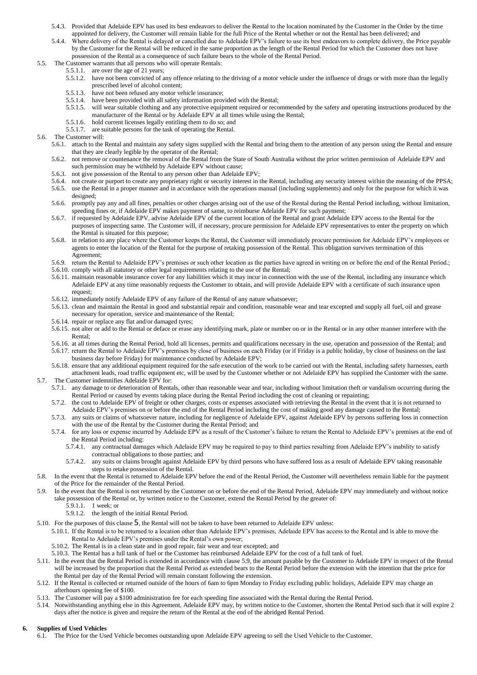- 5.4.3. Provided that Adelaide EPV has used its best endeavors to deliver the Rental to the location nominated by the Customer in the Order by the time appointed for delivery, the Customer will remain liable for the full Price of the Rental whether or not the Rental has been delivered; and
- 5.4.4. Where delivery of the Rental is delayed or cancelled due to Adelaide EPV's failure to use its best endeavors to complete delivery, the Price payable by the Customer for the Rental will be reduced in the same proportion as the length of the Rental Period for which the Customer does not have possession of the Rental as a consequence of such failure bears to the whole of the Rental Period.
- 5.5. The Customer warrants that all persons who will operate Rentals:
	- 5.5.1.1. are over the age of 21 years;
	- 5.5.1.2. have not been convicted of any offence relating to the driving of a motor vehicle under the influence of drugs or with more than the legally prescribed level of alcohol content;
	- 5.5.1.3. have not been refused any motor vehicle insurance;
	- 5.5.1.4. have been provided with all safety information provided with the Rental;
	- 5.5.1.5. will wear suitable clothing and any protective equipment required or recommended by the safety and operating instructions produced by the manufacturer of the Rental or by Adelaide EPV at all times while using the Rental;
	- 5.5.1.6. hold current licenses legally entitling them to do so; and
	- 5.5.1.7. are suitable persons for the task of operating the Rental.
- 5.6. The Customer will:
	- 5.6.1. attach to the Rental and maintain any safety signs supplied with the Rental and bring them to the attention of any person using the Rental and ensure that they are clearly legible by the operator of the Rental;
	- 5.6.2. not remove or countenance the removal of the Rental from the State of South Australia without the prior written permission of Adelaide EPV and such permission may be withheld by Adelaide EPV without cause;
	- 5.6.3. not give possession of the Rental to any person other than Adelaide EPV;
	- 5.6.4. not create or purport to create any proprietary right or security interest in the Rental, including any security interest within the meaning of the PPSA;
	- 5.6.5. use the Rental in a proper manner and in accordance with the operations manual (including supplements) and only for the purpose for which it was designed;
	- 5.6.6. promptly pay any and all fines, penalties or other charges arising out of the use of the Rental during the Rental Period including, without limitation, speeding fines or, if Adelaide EPV makes payment of same, to reimburse Adelaide EPV for such payment;
	- 5.6.7. if requested by Adelaide EPV, advise Adelaide EPV of the current location of the Rental and grant Adelaide EPV access to the Rental for the purposes of inspecting same. The Customer will, if necessary, procure permission for Adelaide EPV representatives to enter the property on which the Rental is situated for this purpose;
	- 5.6.8. in relation to any place where the Customer keeps the Rental, the Customer will immediately procure permission for Adelaide EPV's employees or agents to enter the location of the Rental for the purpose of retaking possession of the Rental. This obligation survives termination of this Agreement;
	- 5.6.9. return the Rental to Adelaide EPV's premises or such other location as the parties have agreed in writing on or before the end of the Rental Period.;
	- 5.6.10. comply with all statutory or other legal requirements relating to the use of the Rental;
	- 5.6.11. maintain reasonable insurance cover for any liabilities which it may incur in connection with the use of the Rental, including any insurance which Adelaide EPV at any time reasonably requests the Customer to obtain, and will provide Adelaide EPV with a certificate of such insurance upon request;
	- 5.6.12. immediately notify Adelaide EPV of any failure of the Rental of any nature whatsoever;
	- 5.6.13. clean and maintain the Rental in good and substantial repair and condition, reasonable wear and tear excepted and supply all fuel, oil and grease necessary for operation, service and maintenance of the Rental;
	- 5.6.14. repair or replace any flat and/or damaged tyres;
	- 5.6.15. not alter or add to the Rental or deface or erase any identifying mark, plate or number on or in the Rental or in any other manner interfere with the Rental;
	- 5.6.16. at all times during the Rental Period, hold all licenses, permits and qualifications necessary in the use, operation and possession of the Rental; and

5.6.17. return the Rental to Adelaide EPV's premises by close of business on each Friday (or if Friday is a public holiday, by close of business on the last business day before Friday) for maintenance conducted by Adelaide EPV;

- 5.6.18. ensure that any additional equipment required for the safe execution of the work to be carried out with the Rental, including safety harnesses, earth attachment leads, road traffic equipment etc, will be used by the Customer whether or not Adelaide EPV has supplied the Customer with the same. 5.7. The Customer indemnifies Adelaide EPV for:
	- 5.7.1. any damage to or deterioration of Rentals, other than reasonable wear and tear, including without limitation theft or vandalism occurring during the Rental Period or caused by events taking place during the Rental Period including the cost of cleaning or repainting;
	- 5.7.2. the cost to Adelaide EPV of freight or other charges, costs or expenses associated with retrieving the Rental in the event that it is not returned to
	- Adelaide EPV's premises on or before the end of the Rental Period including the cost of making good any damage caused to the Rental; 5.7.3. any suits or claims of whatsoever nature, including for negligence of Adelaide EPV, against Adelaide EPV by persons suffering loss in connection with the use of the Rental by the Customer during the Rental Period; and
	- 5.7.4. for any loss or expense incurred by Adelaide EPV as a result of the Customer's failure to return the Rental to Adelaide EPV's premises at the end of the Rental Period including:
		- 5.7.4.1. any contractual damages which Adelaide EPV may be required to pay to third parties resulting from Adelaide EPV's inability to satisfy contractual obligations to those parties; and
		- 5.7.4.2. any suits or claims brought against Adelaide EPV by third persons who have suffered loss as a result of Adelaide EPV taking reasonable steps to retake possession of the Rental.
- 5.8. In the event that the Rental is returned to Adelaide EPV before the end of the Rental Period, the Customer will nevertheless remain liable for the payment of the Price for the remainder of the Rental Period.
- <span id="page-1-0"></span>5.9. In the event that the Rental is not returned by the Customer on or before the end of the Rental Period, Adelaide EPV may immediately and without notice take possession of the Rental or, by written notice to the Customer, extend the Rental Period by the greater of:
	- 5.9.1.1. 1 week; or
	- 5.9.1.2. the length of the initial Rental Period.
- 5.10. For the purposes of this clause [5](#page-0-6), the Rental will not be taken to have been returned to Adelaide EPV unless:
	- 5.10.1. If the Rental is to be returned to a location other than Adelaide EPV's premises, Adelaide EPV has access to the Rental and is able to move the Rental to Adelaide EPV's premises under the Rental's own power;
	- 5.10.2. The Rental is in a clean state and in good repair, fair wear and tear excepted; and
	- 5.10.3. The Rental has a full tank of fuel or the Customer has reimbursed Adelaide EPV for the cost of a full tank of fuel.
- 5.11. In the event that the Rental Period is extended in accordance with clause [5.9,](#page-1-0) the amount payable by the Customer to Adelaide EPV in respect of the Rental will be increased by the proportion that the Rental Period as extended bears to the Rental Period before the extension with the intention that the price for the Rental per day of the Rental Period will remain constant following the extension.
- 5.12. If the Rental is collected or returned outside of the hours of 6am to 6pm Monday to Friday excluding public holidays, Adelaide EPV may charge an afterhours opening fee of \$100.
- 5.13. The Customer will pay a \$100 administration fee for each speeding fine associated with the Rental during the Rental Period.
- 5.14. Notwithstanding anything else in this Agreement, Adelaide EPV may, by written notice to the Customer, shorten the Rental Period such that it will expire 2 days after the notice is given and require the return of the Rental at the end of the abridged Rental Period.

## <span id="page-1-2"></span><span id="page-1-1"></span>**6. Supplies of Used Vehicles**

6.1. The Price for the Used Vehicle becomes outstanding upon Adelaide EPV agreeing to sell the Used Vehicle to the Customer.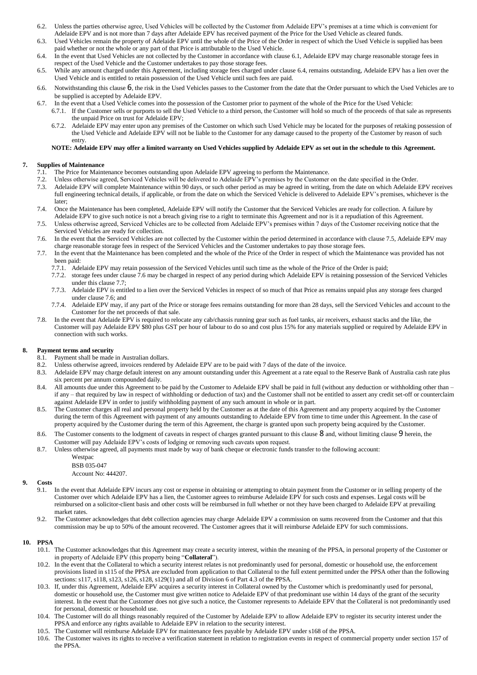- 6.2. Unless the parties otherwise agree, Used Vehicles will be collected by the Customer from Adelaide EPV's premises at a time which is convenient for Adelaide EPV and is not more than 7 days after Adelaide EPV has received payment of the Price for the Used Vehicle as cleared funds.
- 6.3. Used Vehicles remain the property of Adelaide EPV until the whole of the Price of the Order in respect of which the Used Vehicle is supplied has been paid whether or not the whole or any part of that Price is attributable to the Used Vehicle.
- <span id="page-2-1"></span>6.4. In the event that Used Vehicles are not collected by the Customer in accordance with claus[e 6.1,](#page-1-1) Adelaide EPV may charge reasonable storage fees in respect of the Used Vehicle and the Customer undertakes to pay those storage fees.
- 6.5. While any amount charged under this Agreement, including storage fees charged under claus[e 6.4,](#page-2-1) remains outstanding, Adelaide EPV has a lien over the Used Vehicle and is entitled to retain possession of the Used Vehicle until such fees are paid.
- 6.6. Notwithstanding this clause [6](#page-1-2), the risk in the Used Vehicles passes to the Customer from the date that the Order pursuant to which the Used Vehicles are to be supplied is accepted by Adelaide EPV.
- 6.7. In the event that a Used Vehicle comes into the possession of the Customer prior to payment of the whole of the Price for the Used Vehicle:
	- 6.7.1. If the Customer sells or purports to sell the Used Vehicle to a third person, the Customer will hold so much of the proceeds of that sale as represents the unpaid Price on trust for Adelaide EPV;
	- 6.7.2. Adelaide EPV may enter upon any premises of the Customer on which such Used Vehicle may be located for the purposes of retaking possession of the Used Vehicle and Adelaide EPV will not be liable to the Customer for any damage caused to the property of the Customer by reason of such entry.

### **NOTE: Adelaide EPV may offer a limited warranty on Used Vehicles supplied by Adelaide EPV as set out in the schedule to this Agreement.**

# **7. Supplies of Maintenance**

- 7.1. The Price for Maintenance becomes outstanding upon Adelaide EPV agreeing to perform the Maintenance.
- 7.2. Unless otherwise agreed, Serviced Vehicles will be delivered to Adelaide EPV's premises by the Customer on the date specified in the Order.
- 7.3. Adelaide EPV will complete Maintenance within 90 days, or such other period as may be agreed in writing, from the date on which Adelaide EPV receives full engineering technical details, if applicable, or from the date on which the Serviced Vehicle is delivered to Adelaide EPV's premises, whichever is the later;
- 7.4. Once the Maintenance has been completed, Adelaide EPV will notify the Customer that the Serviced Vehicles are ready for collection. A failure by Adelaide EPV to give such notice is not a breach giving rise to a right to terminate this Agreement and nor is it a repudiation of this Agreement.
- <span id="page-2-2"></span>7.5. Unless otherwise agreed, Serviced Vehicles are to be collected from Adelaide EPV's premises within 7 days of the Customer receiving notice that the Serviced Vehicles are ready for collection.
- <span id="page-2-3"></span>7.6. In the event that the Serviced Vehicles are not collected by the Customer within the period determined in accordance with claus[e 7.5,](#page-2-2) Adelaide EPV may charge reasonable storage fees in respect of the Serviced Vehicles and the Customer undertakes to pay those storage fees.
- <span id="page-2-4"></span>7.7. In the event that the Maintenance has been completed and the whole of the Price of the Order in respect of which the Maintenance was provided has not been paid:
	- 7.7.1. Adelaide EPV may retain possession of the Serviced Vehicles until such time as the whole of the Price of the Order is paid;
	- 7.7.2. storage fees under claus[e 7.6](#page-2-3) may be charged in respect of any period during which Adelaide EPV is retaining possession of the Serviced Vehicles under this claus[e 7.7;](#page-2-4)
	- 7.7.3. Adelaide EPV is entitled to a lien over the Serviced Vehicles in respect of so much of that Price as remains unpaid plus any storage fees charged under clause [7.6;](#page-2-3) and
	- 7.7.4. Adelaide EPV may, if any part of the Price or storage fees remains outstanding for more than 28 days, sell the Serviced Vehicles and account to the Customer for the net proceeds of that sale.
- 7.8. In the event that Adelaide EPV is required to relocate any cab/chassis running gear such as fuel tanks, air receivers, exhaust stacks and the like, the Customer will pay Adelaide EPV \$80 plus GST per hour of labour to do so and cost plus 15% for any materials supplied or required by Adelaide EPV in connection with such works.

## <span id="page-2-5"></span>**8. Payment terms and security**

- 8.1. Payment shall be made in Australian dollars.
- 8.2. Unless otherwise agreed, invoices rendered by Adelaide EPV are to be paid with 7 days of the date of the invoice.
- 8.3. Adelaide EPV may charge default interest on any amount outstanding under this Agreement at a rate equal to the Reserve Bank of Australia cash rate plus six percent per annum compounded daily.
- 8.4. All amounts due under this Agreement to be paid by the Customer to Adelaide EPV shall be paid in full (without any deduction or withholding other than if any – that required by law in respect of withholding or deduction of tax) and the Customer shall not be entitled to assert any credit set-off or counterclaim against Adelaide EPV in order to justify withholding payment of any such amount in whole or in part.
- 8.5. The Customer charges all real and personal property held by the Customer as at the date of this Agreement and any property acquired by the Customer during the term of this Agreement with payment of any amounts outstanding to Adelaide EPV from time to time under this Agreement. In the case of property acquired by the Customer during the term of this Agreement, the charge is granted upon such property being acquired by the Customer.
- [8](#page-2-5).6. The Customer consents to the lodgment of caveats in respect of charges granted pursuant to this clause 8 and, without limiting clause [9](#page-2-6) herein, the Customer will pay Adelaide EPV's costs of lodging or removing such caveats upon request.
- 8.7. Unless otherwise agreed, all payments must made by way of bank cheque or electronic funds transfer to the following account:
	- Westpac

BSB 035-047 Account No: 444207.

## <span id="page-2-6"></span>**9. Costs**

- 9.1. In the event that Adelaide EPV incurs any cost or expense in obtaining or attempting to obtain payment from the Customer or in selling property of the Customer over which Adelaide EPV has a lien, the Customer agrees to reimburse Adelaide EPV for such costs and expenses. Legal costs will be reimbursed on a solicitor-client basis and other costs will be reimbursed in full whether or not they have been charged to Adelaide EPV at prevailing market rates.
- 9.2. The Customer acknowledges that debt collection agencies may charge Adelaide EPV a commission on sums recovered from the Customer and that this commission may be up to 50% of the amount recovered. The Customer agrees that it will reimburse Adelaide EPV for such commissions.

# <span id="page-2-0"></span>**10. PPSA**

- 10.1. The Customer acknowledges that this Agreement may create a security interest, within the meaning of the PPSA, in personal property of the Customer or in property of Adelaide EPV (this property being "**Collateral**").
- 10.2. In the event that the Collateral to which a security interest relates is not predominantly used for personal, domestic or household use, the enforcement provisions listed in s115 of the PPSA are excluded from application to that Collateral to the full extent permitted under the PPSA other than the following sections: s117, s118, s123, s126, s128, s129(1) and all of Division 6 of Part 4.3 of the PPSA.
- 10.3. If, under this Agreement, Adelaide EPV acquires a security interest in Collateral owned by the Customer which is predominantly used for personal, domestic or household use, the Customer must give written notice to Adelaide EPV of that predominant use within 14 days of the grant of the security interest. In the event that the Customer does not give such a notice, the Customer represents to Adelaide EPV that the Collateral is not predominantly used for personal, domestic or household use.
- 10.4. The Customer will do all things reasonably required of the Customer by Adelaide EPV to allow Adelaide EPV to register its security interest under the PPSA and enforce any rights available to Adelaide EPV in relation to the security interest.
- 10.5. The Customer will reimburse Adelaide EPV for maintenance fees payable by Adelaide EPV under s168 of the PPSA.
- 10.6. The Customer waives its rights to receive a verification statement in relation to registration events in respect of commercial property under section 157 of the PPSA.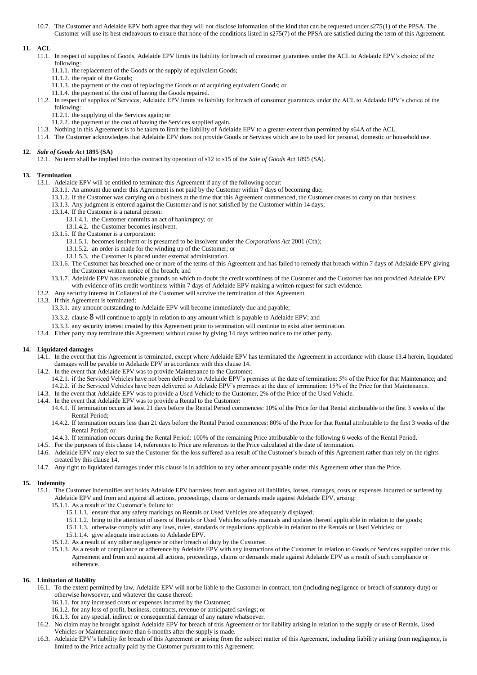10.7. The Customer and Adelaide EPV both agree that they will not disclose information of the kind that can be requested under s275(1) of the PPSA. The Customer will use its best endeavours to ensure that none of the conditions listed in s275(7) of the PPSA are satisfied during the term of this Agreement.

# **11. ACL**

- 11.1. In respect of supplies of Goods, Adelaide EPV limits its liability for breach of consumer guarantees under the ACL to Adelaide EPV's choice of the following:
	- 11.1.1. the replacement of the Goods or the supply of equivalent Goods;
	- 11.1.2. the repair of the Goods;
	- 11.1.3. the payment of the cost of replacing the Goods or of acquiring equivalent Goods; or
	- 11.1.4. the payment of the cost of having the Goods repaired.
- 11.2. In respect of supplies of Services, Adelaide EPV limits its liability for breach of consumer guarantees under the ACL to Adelaide EPV's choice of the following:
	- 11.2.1. the supplying of the Services again; or
	- 11.2.2. the payment of the cost of having the Services supplied again.
- 11.3. Nothing in this Agreement is to be taken to limit the liability of Adelaide EPV to a greater extent than permitted by s64A of the ACL.
- 11.4. The Customer acknowledges that Adelaide EPV does not provide Goods or Services which are to be used for personal, domestic or household use.

# **12.** *Sale of Goods Act* **1895 (SA)**

12.1. No term shall be implied into this contract by operation of s12 to s15 of the *Sale of Goods Act* 1895 (SA).

### **13. Termination**

- 13.1. Adelaide EPV will be entitled to terminate this Agreement if any of the following occur:
	- 13.1.1. An amount due under this Agreement is not paid by the Customer within 7 days of becoming due;
	- 13.1.2. If the Customer was carrying on a business at the time that this Agreement commenced, the Customer ceases to carry on that business;
	- 13.1.3. Any judgment is entered against the Customer and is not satisfied by the Customer within 14 days;
	- 13.1.4. If the Customer is a natural person:
		- 13.1.4.1. the Customer commits an act of bankruptcy; or
		- 13.1.4.2. the Customer becomes insolvent.
	- 13.1.5. If the Customer is a corporation:
		- 13.1.5.1. becomes insolvent or is presumed to be insolvent under the *Corporations Act* 2001 (Cth);
		- 13.1.5.2. an order is made for the winding up of the Customer; or
		- 13.1.5.3. the Customer is placed under external administration.
	- 13.1.6. The Customer has breached one or more of the terms of this Agreement and has failed to remedy that breach within 7 days of Adelaide EPV giving the Customer written notice of the breach; and
	- 13.1.7. Adelaide EPV has reasonable grounds on which to doubt the credit worthiness of the Customer and the Customer has not provided Adelaide EPV
- with evidence of its credit worthiness within 7 days of Adelaide EPV making a written request for such evidence. 13.2. Any security interest in Collateral of the Customer will survive the termination of this Agreement.
- 13.3. If this Agreement is terminated:
	- 13.3.1. any amount outstanding to Adelaide EPV will become immediately due and payable;
	-
	- 13.3.2. clause [8](#page-2-5) will continue to apply in relation to any amount which is payable to Adelaide EPV; and
	- 13.3.3. any security interest created by this Agreement prior to termination will continue to exist after termination.
- 13.4. Either party may terminate this Agreement without cause by giving 14 days written notice to the other party.

### <span id="page-3-1"></span><span id="page-3-0"></span>**14. Liquidated damages**

- 14.1. In the event that this Agreement is terminated, except where Adelaide EPV has terminated the Agreement in accordance with claus[e 13.4](#page-3-0) herein, liquidated damages will be payable to Adelaide EPV in accordance with this clause [14.](#page-3-1)
- 14.2. In the event that Adelaide EPV was to provide Maintenance to the Customer:
	- 14.2.1. if the Serviced Vehicles have not been delivered to Adelaide EPV's premises at the date of termination: 5% of the Price for that Maintenance; and
	- 14.2.2. if the Serviced Vehicles have been delivered to Adelaide EPV's premises at the date of termination: 15% of the Price for that Maintenance.
- 14.3. In the event that Adelaide EPV was to provide a Used Vehicle to the Customer, 2% of the Price of the Used Vehicle.
- 14.4. In the event that Adelaide EPV was to provide a Rental to the Customer:
	- 14.4.1. If termination occurs at least 21 days before the Rental Period commences: 10% of the Price for that Rental attributable to the first 3 weeks of the Rental Period;
	- 14.4.2. If termination occurs less than 21 days before the Rental Period commences: 80% of the Price for that Rental attributable to the first 3 weeks of the Rental Period; or
	- 14.4.3. If termination occurs during the Rental Period: 100% of the remaining Price attributable to the following 6 weeks of the Rental Period.
- 14.5. For the purposes of this claus[e 14,](#page-3-1) references to Price are references to the Price calculated at the date of termination.
- 14.6. Adelaide EPV may elect to sue the Customer for the loss suffered as a result of the Customer's breach of this Agreement rather than rely on the rights created by this claus[e 14.](#page-3-1)
- 14.7. Any right to liquidated damages under this clause is in addition to any other amount payable under this Agreement other than the Price.

# **15. Indemnity**

- 15.1. The Customer indemnifies and holds Adelaide EPV harmless from and against all liabilities, losses, damages, costs or expenses incurred or suffered by Adelaide EPV and from and against all actions, proceedings, claims or demands made against Adelaide EPV, arising:
	- 15.1.1. As a result of the Customer's failure to:
		- 15.1.1.1. ensure that any safety markings on Rentals or Used Vehicles are adequately displayed;
		- 15.1.1.2. bring to the attention of users of Rentals or Used Vehicles safety manuals and updates thereof applicable in relation to the goods;
		- 15.1.1.3. otherwise comply with any laws, rules, standards or regulations applicable in relation to the Rentals or Used Vehicles; or
		- 15.1.1.4. give adequate instructions to Adelaide EPV.
	- 15.1.2. As a result of any other negligence or other breach of duty by the Customer.
	- 15.1.3. As a result of compliance or adherence by Adelaide EPV with any instructions of the Customer in relation to Goods or Services supplied under this Agreement and from and against all actions, proceedings, claims or demands made against Adelaide EPV as a result of such compliance or adherence.

### **16. Limitation of liability**

- 16.1. To the extent permitted by law, Adelaide EPV will not be liable to the Customer in contract, tort (including negligence or breach of statutory duty) or otherwise howsoever, and whatever the cause thereof:
	- 16.1.1. for any increased costs or expenses incurred by the Customer;
	- 16.1.2. for any loss of profit, business, contracts, revenue or anticipated savings; or
	- 16.1.3. for any special, indirect or consequential damage of any nature whatsoever.
- 16.2. No claim may be brought against Adelaide EPV for breach of this Agreement or for liability arising in relation to the supply or use of Rentals, Used Vehicles or Maintenance more than 6 months after the supply is made.
- 16.3. Adelaide EPV's liability for breach of this Agreement or arising from the subject matter of this Agreement, including liability arising from negligence, is limited to the Price actually paid by the Customer pursuant to this Agreement.